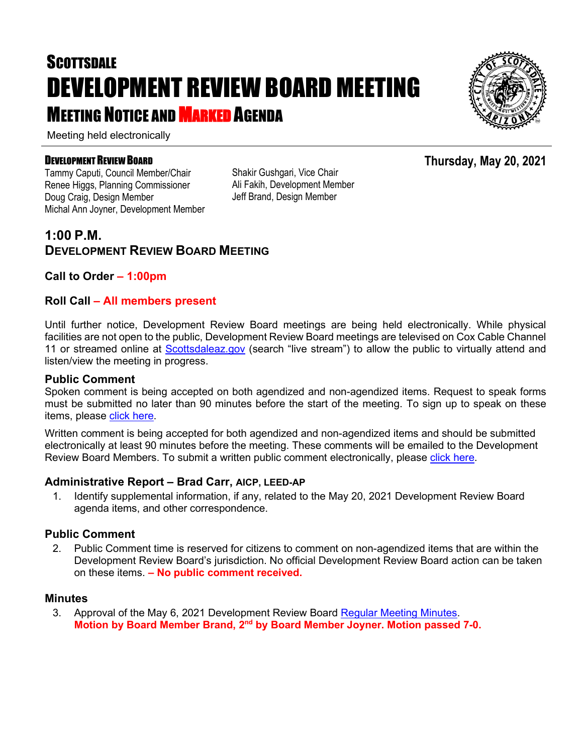# **SCOTTSDALE** DEVELOPMENT REVIEW BOARD MEETING MEETING NOTICE AND MARKED AGENDA

Meeting held electronically

#### DEVELOPMENT REVIEW BOARD

Tammy Caputi, Council Member/Chair Renee Higgs, Planning Commissioner Doug Craig, Design Member Michal Ann Joyner, Development Member Shakir Gushgari, Vice Chair Ali Fakih, Development Member Jeff Brand, Design Member

### **1:00 P.M. DEVELOPMENT REVIEW BOARD MEETING**

#### **Call to Order – 1:00pm**

#### **Roll Call – All members present**

Until further notice, Development Review Board meetings are being held electronically. While physical facilities are not open to the public, Development Review Board meetings are televised on Cox Cable Channel 11 or streamed online at [Scottsdaleaz.gov](https://www.scottsdaleaz.gov/) (search "live stream") to allow the public to virtually attend and listen/view the meeting in progress.

#### **Public Comment**

Spoken comment is being accepted on both agendized and non-agendized items. Request to speak forms must be submitted no later than 90 minutes before the start of the meeting. To sign up to speak on these items, please [click here.](https://www.scottsdaleaz.gov/boards/development-review-board/spoken-comment)

Written comment is being accepted for both agendized and non-agendized items and should be submitted electronically at least 90 minutes before the meeting. These comments will be emailed to the Development Review Board Members. To submit a written public comment electronically, please [click here.](https://www.scottsdaleaz.gov/boards/development-review-board/public-comment)

#### **Administrative Report – Brad Carr, AICP, LEED-AP**

1. Identify supplemental information, if any, related to the May 20, 2021 Development Review Board agenda items, and other correspondence.

#### **Public Comment**

2. Public Comment time is reserved for citizens to comment on non-agendized items that are within the Development Review Board's jurisdiction. No official Development Review Board action can be taken on these items. **– No public comment received.**

#### **Minutes**

3. Approval of the May 6, 2021 Development Review Board [Regular Meeting Minutes.](https://eservices.scottsdaleaz.gov/planning/projectsummary/unrelated_documents/DRB_MEETING_MINUTES_05062021.pdf) **Motion by Board Member Brand, 2nd by Board Member Joyner. Motion passed 7-0.**



**Thursday, May 20, 2021**